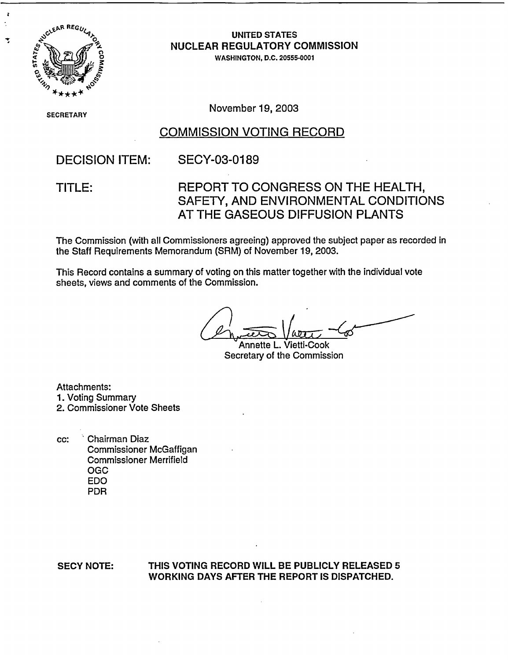

z

Ť

## **UNITED STATES NUCLEAR REGULATORY COMMISSION**

WASHINGTON, D.C. 20555-0001

**SECRETARY** 

**CRETARY** November 19, 2003

### COMMISSION VOTING RECORD

DECISION ITEM: SECY-03-0189

## TITLE: REPORT TO CONGRESS ON THE HEALTH, SAFETY, AND ENVIRONMENTAL CONDITIONS AT THE GASEOUS DIFFUSION PLANTS

The Commission (with all Commissioners agreeing) approved the subject paper as recorded in the Staff Requirements Memorandum (SRM) of November 19, 2003.

This Record contains a summary of voting on this matter together with the individual vote sheets, views and comments of the Commission.

Annette L. Vietti-Cook Secretary of the Commission

Attachments: 1. Voting Summary 2. Commissioner Vote Sheets

cc: Chairman Diaz Commissioner McGaffigan Commissioner Merrifield OGC EDO PDR

### SECY NOTE: **THIS VOTING RECORD WILL BE PUBLICLY RELEASED 5** WORKING DAYS AFTER THE REPORT IS DISPATCHED.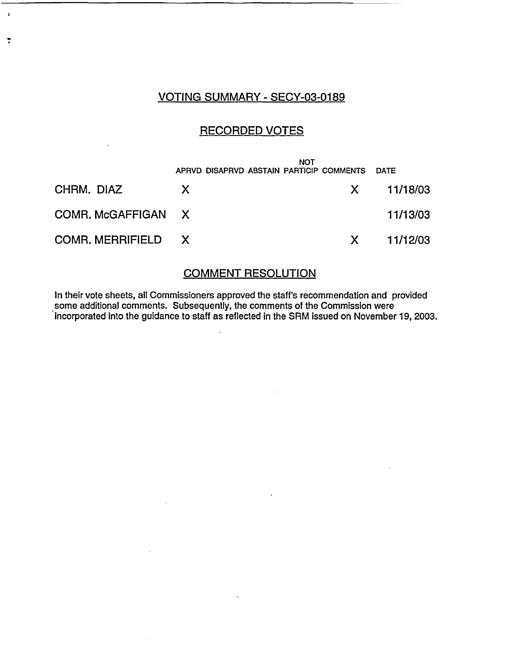### VOTING SUMMARY - SECY-03-0189

 $\ddot{\phantom{a}}$ 

 $\ddot{\phantom{0}}$ 

### RECORDED VOTES

|                    | <b>NOT</b><br>APRVD DISAPRVD ABSTAIN PARTICIP COMMENTS DATE |                |
|--------------------|-------------------------------------------------------------|----------------|
| CHRM. DIAZ         | X.                                                          | X 11/18/03     |
| COMR. McGAFFIGAN X |                                                             | 11/13/03       |
| COMR. MERRIFIELD X |                                                             | $X = 11/12/03$ |

## COMMENT RESOLUTION

In their vote sheets, all Commissioners approved the staff's recommendation and provided some additional comments. Subsequently, the comments of the Commission were incorporated into the guidance to staff as reflected in the SRM issued on November 19, 2003.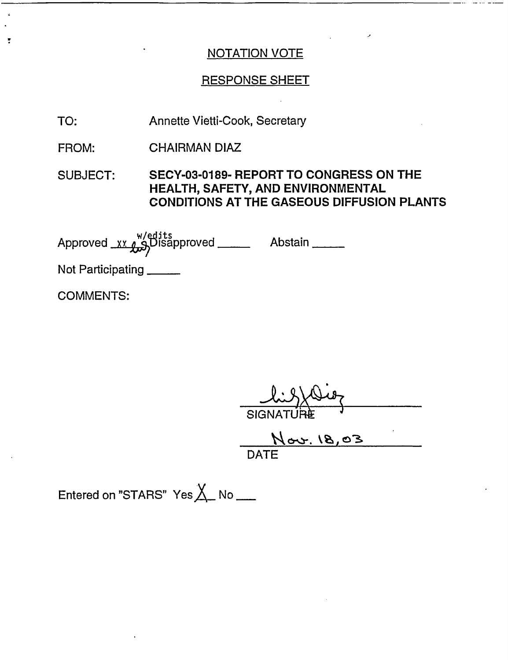### NOTATION VOTE

### RESPONSE SHEET

- Annette Vietti-Cook, Secretary TO:
- CHAIRMAN DIAZ FROM:
- SUBJECT: SECY-03-0189- REPORT TO CONGRESS ON THE **HEALTH, SAFETY, AND ENVIRONMENTAL CONDITIONS AT THE GASEOUS DIFFUSION PLANTS**

A p vedw pro e its Approved **--X-Alqisapproved .** Abstain

Not Participating

COMMENTS:

 $\ddot{\cdot}$ 

SIGNATUR<del>È</del>

 $\overline{1}$ DATE

Entered on "STARS" Yes $X_{\!\!\!-\!}$  No  $\underline{\phantom{A}}$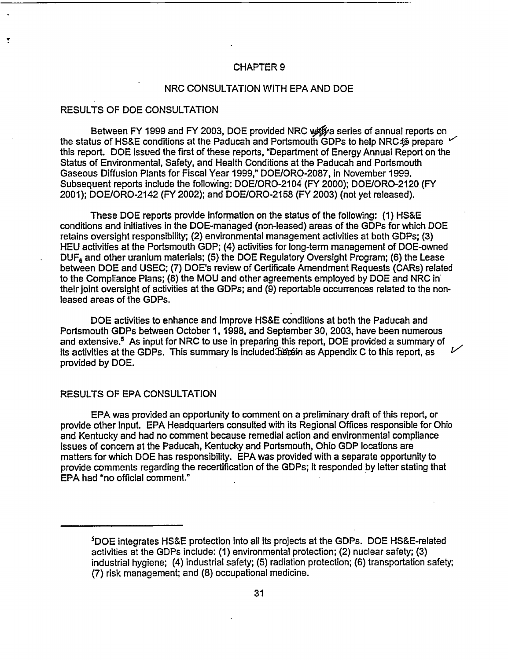#### CHAPTER 9

#### NRC CONSULTATION WITH EPA AND DOE

#### RESULTS OF DOE CONSULTATION

Ť

Between FY 1999 and FY 2003, DOE provided NRC with a series of annual reports on the status of HS&E conditions at the Paducah and Portsmouth GDPs to help NRC46 prepare this report. DOE issued the first of these reports, "Department of Energy Annual Report on the Status of Environmental, Safety, and Health Conditions at the Paducah and Portsmouth Gaseous Diffusion Plants for Fiscal Year 1999," DOE/ORO-2087, in November 1999. Subsequent reports include the following: DOE/ORO-2104 (FY 2000); DOE/ORO-2120 (FY 2001); DOE/ORO-2142 (FY 2002); and DOE/ORO-2158 (FY 2003) (not yet released).

These DOE reports provide information on the status of the following: (1) HS&E conditions and initiatives in the DOE-managed (non-leased) areas of the GDPs for which DOE retains oversight responsibility; (2) environmental management activities at both GDPs; (3) HEU activities at the Portsmouth GDP; (4) activities for long-term management of DOE-owned DUF<sub>6</sub> and other uranium materials; (5) the DOE Regulatory Oversight Program; (6) the Lease between DOE and USEC; (7) DOE's review of Certificate Amendment Requests (CARs) related to the Compliance Plans; (8) the MOU and other agreements employed by DOE and NRC in their joint oversight of activities at the GDPs; and (9) reportable occurrences related to the nonleased areas of the GDPs.

DOE activities to enhance and improve HS&E conditions at both the Paducah and Portsmouth GDPs between October 1, 1998, and September 30, 2003, have been numerous and extensive.<sup>5</sup> As input for NRC to use in preparing this report, DOE provided a summary of its activities at the GDPs. This summary is included better as Appendix C to this report, as provided by DOE.

#### RESULTS OF EPA CONSULTATION

EPA was provided an opportunity to comment on a preliminary draft of this report, or provide other input. EPA Headquarters consulted with its Regional Offices responsible for Ohio and Kentucky and had no comment because remedial action and environmental compliance issues of concern at the Paducah, Kentucky and Portsmouth, Ohio GDP locations are matters for which DOE has responsibility. EPA was provided with a separate opportunity to provide comments regarding the recertification of the GDPs; it responded by letter stating that EPA had "no official comment."

<sup>5</sup>DOE integrates HS&E protection into all its projects at the GDPs. DOE HS&E-related activities at the GDPs include: (1) environmental protection; (2) nuclear safety; (3) industrial hygiene; (4) industrial safety; (5) radiation protection; (6) transportation safety; (7) risk management; and (8) occupational medicine.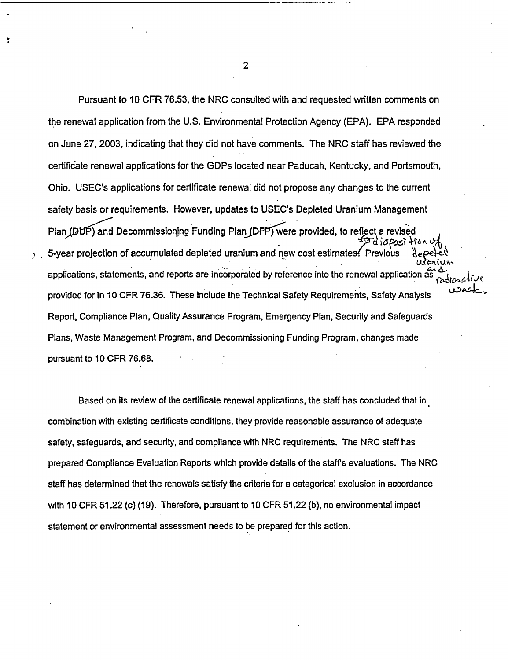Pursuant to 10 CFR 76.53, the NRC consulted with and requested written comments on the renewal application from the U.S. Environmental Protection Agency (EPA). EPA responded on June 27, 2003, indicating that they did not have comments. The NRC staff has reviewed the certificate renewal applications for the GDPs located near Paducah, Kentucky, and Portsmouth, Ohio. USEC's applications for certificate renewal did not propose any changes to the current safety basis or requirements. However, updates to USEC's Depleted Uranium Management Plan ( $DUP$ ) and Decommissioning Funding Plan ( $DFP$ ) were provided, to reflect a revised **PEdisposition** 5-year projection of accumulated depleted uranium and new cost estimates. Previous applications, statements, and reports are incorporated by reference into the renewal application as provided for in 10 CFR 76.36. These include the Technical Safety Requirements, Safety Analysis Report, Compliance Plan, Quality Assurance Program, Emergency Plan, Security and Safeguards Plans, Waste Management Program, and Decommissioning Funding Program, changes made pursuant to 10 CFR 76.68.

Based on Its review of the certificate renewal applications, the staff has concluded that in combination with existing certificate conditions, they provide reasonable assurance of adequate safety, safeguards, and security, and compliance with NRC requirements. The NRC staff has prepared Compliance Evaluation Reports which provide details of the staffs evaluations. The NRC staff has determined that the renewals satisfy the criteria for a categorical exclusion in accordance with 10 CFR 51.22 (c) (19). Therefore, pursuant to 10 CFR 51.22 (b), no environmental impact statement or environmental assessment needs to be prepared for this action.

2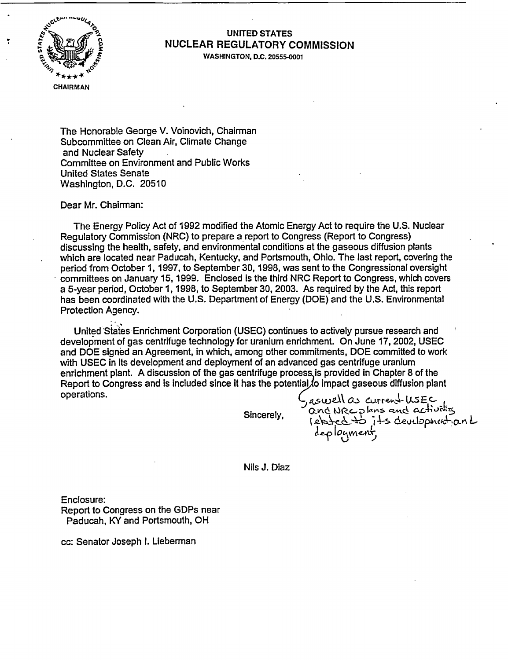

## **UNITED STATES NUCLEAR REGULATORY COMMISSION**

**WASHINGTON, D.C. 20555-0001**

The Honorable George V. Voinovich, Chairman Subcommittee on Clean Air, Climate Change and Nuclear Safety Committee on Environment and Public Works United States Senate Washington, D.C. 20510

Dear Mr. Chairman:

The Energy Policy Act of 1992 modified the Atomic Energy Act to require the U.S. Nuclear Regulatory Commission (NRC) to prepare a report to Congress (Report to Congress) discussing the health, safety, and environmental conditions at the gaseous diffusion plants which are located near Paducah, Kentucky, and Portsmouth, Ohio. The last report, covering the period from October 1, 1997, to September 30,1998, was sent to the Congressional oversight committees on January 15, 1999. Enclosed is the third NRC Report to Congress, which covers a 5-year period, October 1, 1998, to September 30, 2003. As required by the Act, this report has been coordinated with the U.S. Department of Energy (DOE) and the U.S. Environmental Protection Agency.

United States Enrichment Corporation (USEC) continues to actively pursue research and development of gas centrifuge technology for uranium enrichment. On June 17, 2002, USEC and DOE signed an Agreement, in which, among other commitments, DOE committed to work with USEC in its development and deployment of an advanced gas centrifuge uranium enrichment plant. A discussion of the gas centrifuge processis provided in Chapter 8 of the Report to Congress and is included since it has the potential to impact gaseous diffusion plant operations.  $\zeta_{\text{aswell}} \propto$  current USEC

Sincerely,

asciences currente uses<br>and NRC plans and activities deployment,

Nils J. Diaz

Enclosure: Report to Congress on the GDPs near Paducah, KY and Portsmouth, OH

cc: Senator Joseph I. Lieberman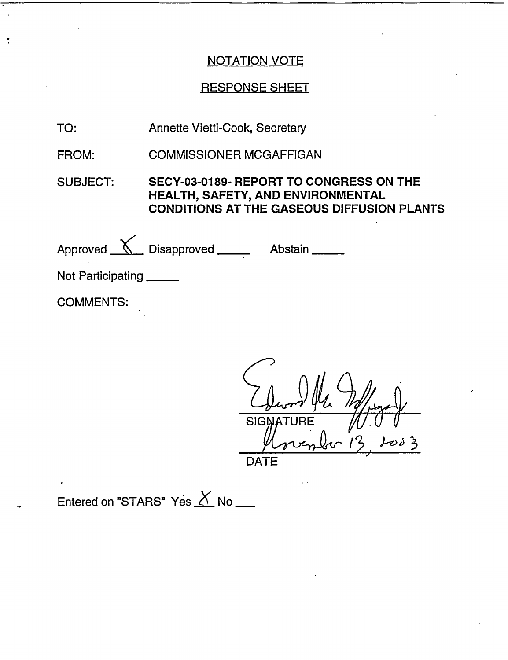### NOTATION VOTE

### RESPONSE SHEET

TO: Annette Vietti-Cook, Secretary

ţ

FROM: COMMISSIONER MCGAFFIGAN

SUBJECT: **SECY-03-0189- REPORT TO CONGRESS ON THE HEALTH, SAFETY, AND ENVIRONMENTAL CONDITIONS AT THE GASEOUS DIFFUSION PLANTS**

| Approved $\mathcal{N}$ Disapproved ____ | Abstain |
|-----------------------------------------|---------|
| Not Participating                       |         |
| <b>COMMENTS:</b>                        |         |

**SIGN**  $0.3$ DATE

Entered on "STARS" Yes  $X$  No \_\_\_</u>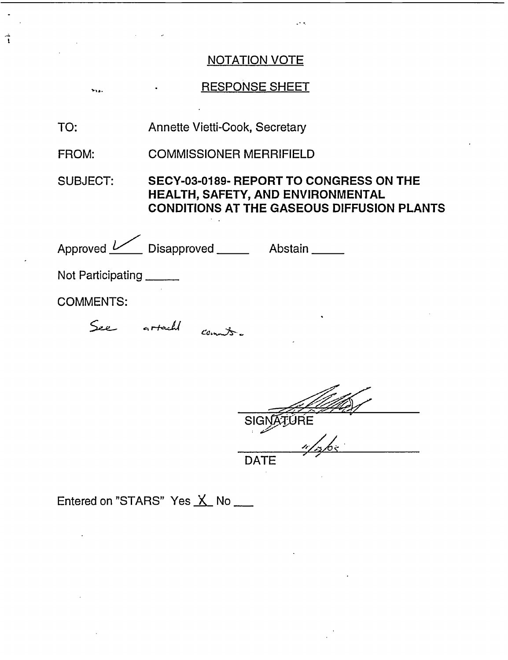## NOTATION VOTE

# RESPONSE SHEET

TO: Annette Vietti-Cook, Secretary

Î

FROM: COMMISSIONER MERRIFIELD

#### SUBJECT: **SECY-03-0189- REPORT TO CONGRESS ON THE HEALTH, SAFETY, AND ENVIRONMENTAL CONDITIONS AT THE GASEOUS DIFFUSION PLANTS**

| Approved <u>V</u> Disapproved _____  | Abstain _ |
|--------------------------------------|-----------|
| Not Participating                    |           |
| <b>COMMENTS:</b>                     |           |
| See<br>artacht<br>$\mathcal{C}$ crno | $\bullet$ |

ÚRE Sl  $\frac{4}{365}$ 

Entered on "STARS" Yes X No